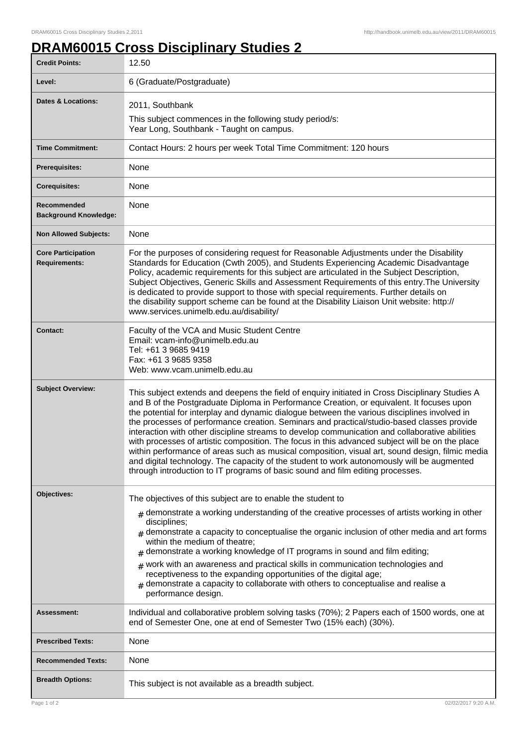## **DRAM60015 Cross Disciplinary Studies 2**

| <b>Credit Points:</b>                             | 12.50                                                                                                                                                                                                                                                                                                                                                                                                                                                                                                                                                                                                                                                                                                                                                                                                                                                                              |
|---------------------------------------------------|------------------------------------------------------------------------------------------------------------------------------------------------------------------------------------------------------------------------------------------------------------------------------------------------------------------------------------------------------------------------------------------------------------------------------------------------------------------------------------------------------------------------------------------------------------------------------------------------------------------------------------------------------------------------------------------------------------------------------------------------------------------------------------------------------------------------------------------------------------------------------------|
| Level:                                            | 6 (Graduate/Postgraduate)                                                                                                                                                                                                                                                                                                                                                                                                                                                                                                                                                                                                                                                                                                                                                                                                                                                          |
| <b>Dates &amp; Locations:</b>                     | 2011, Southbank<br>This subject commences in the following study period/s:<br>Year Long, Southbank - Taught on campus.                                                                                                                                                                                                                                                                                                                                                                                                                                                                                                                                                                                                                                                                                                                                                             |
| <b>Time Commitment:</b>                           | Contact Hours: 2 hours per week Total Time Commitment: 120 hours                                                                                                                                                                                                                                                                                                                                                                                                                                                                                                                                                                                                                                                                                                                                                                                                                   |
| <b>Prerequisites:</b>                             | <b>None</b>                                                                                                                                                                                                                                                                                                                                                                                                                                                                                                                                                                                                                                                                                                                                                                                                                                                                        |
| <b>Corequisites:</b>                              | None                                                                                                                                                                                                                                                                                                                                                                                                                                                                                                                                                                                                                                                                                                                                                                                                                                                                               |
| Recommended<br><b>Background Knowledge:</b>       | None                                                                                                                                                                                                                                                                                                                                                                                                                                                                                                                                                                                                                                                                                                                                                                                                                                                                               |
| <b>Non Allowed Subjects:</b>                      | None                                                                                                                                                                                                                                                                                                                                                                                                                                                                                                                                                                                                                                                                                                                                                                                                                                                                               |
| <b>Core Participation</b><br><b>Requirements:</b> | For the purposes of considering request for Reasonable Adjustments under the Disability<br>Standards for Education (Cwth 2005), and Students Experiencing Academic Disadvantage<br>Policy, academic requirements for this subject are articulated in the Subject Description,<br>Subject Objectives, Generic Skills and Assessment Requirements of this entry. The University<br>is dedicated to provide support to those with special requirements. Further details on<br>the disability support scheme can be found at the Disability Liaison Unit website: http://<br>www.services.unimelb.edu.au/disability/                                                                                                                                                                                                                                                                   |
| <b>Contact:</b>                                   | Faculty of the VCA and Music Student Centre<br>Email: vcam-info@unimelb.edu.au<br>Tel: +61 3 9685 9419<br>Fax: +61 3 9685 9358<br>Web: www.vcam.unimelb.edu.au                                                                                                                                                                                                                                                                                                                                                                                                                                                                                                                                                                                                                                                                                                                     |
| <b>Subject Overview:</b>                          | This subject extends and deepens the field of enquiry initiated in Cross Disciplinary Studies A<br>and B of the Postgraduate Diploma in Performance Creation, or equivalent. It focuses upon<br>the potential for interplay and dynamic dialogue between the various disciplines involved in<br>the processes of performance creation. Seminars and practical/studio-based classes provide<br>interaction with other discipline streams to develop communication and collaborative abilities<br>with processes of artistic composition. The focus in this advanced subject will be on the place<br>within performance of areas such as musical composition, visual art, sound design, filmic media<br>and digital technology. The capacity of the student to work autonomously will be augmented<br>through introduction to IT programs of basic sound and film editing processes. |
| Objectives:                                       | The objectives of this subject are to enable the student to                                                                                                                                                                                                                                                                                                                                                                                                                                                                                                                                                                                                                                                                                                                                                                                                                        |
|                                                   | $#$ demonstrate a working understanding of the creative processes of artists working in other<br>disciplines;<br>$_{\text{\#}}$ demonstrate a capacity to conceptualise the organic inclusion of other media and art forms<br>within the medium of theatre;<br>demonstrate a working knowledge of IT programs in sound and film editing;<br>#<br>$#$ work with an awareness and practical skills in communication technologies and<br>receptiveness to the expanding opportunities of the digital age;<br>$#$ demonstrate a capacity to collaborate with others to conceptualise and realise a<br>performance design.                                                                                                                                                                                                                                                              |
| <b>Assessment:</b>                                | Individual and collaborative problem solving tasks (70%); 2 Papers each of 1500 words, one at<br>end of Semester One, one at end of Semester Two (15% each) (30%).                                                                                                                                                                                                                                                                                                                                                                                                                                                                                                                                                                                                                                                                                                                 |
| <b>Prescribed Texts:</b>                          | None                                                                                                                                                                                                                                                                                                                                                                                                                                                                                                                                                                                                                                                                                                                                                                                                                                                                               |
| <b>Recommended Texts:</b>                         | None                                                                                                                                                                                                                                                                                                                                                                                                                                                                                                                                                                                                                                                                                                                                                                                                                                                                               |
| <b>Breadth Options:</b>                           | This subject is not available as a breadth subject.                                                                                                                                                                                                                                                                                                                                                                                                                                                                                                                                                                                                                                                                                                                                                                                                                                |
| Page 1 of 2                                       | 02/02/2017 9:20 A.M.                                                                                                                                                                                                                                                                                                                                                                                                                                                                                                                                                                                                                                                                                                                                                                                                                                                               |